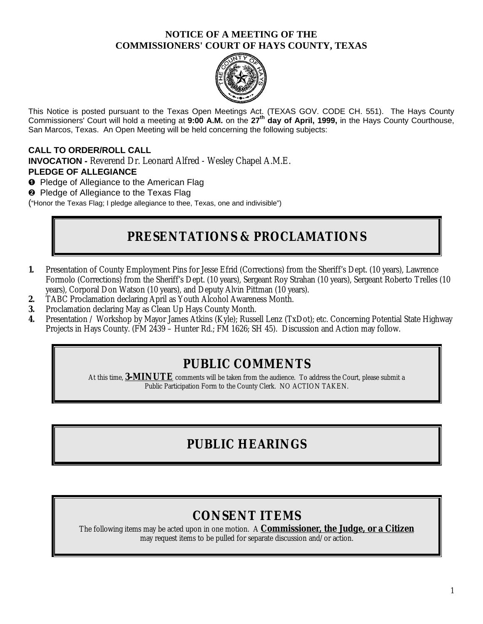#### **NOTICE OF A MEETING OF THE COMMISSIONERS' COURT OF HAYS COUNTY, TEXAS**



This Notice is posted pursuant to the Texas Open Meetings Act. (TEXAS GOV. CODE CH. 551). The Hays County Commissioners' Court will hold a meeting at **9:00 A.M.** on the **27th day of April, 1999,** in the Hays County Courthouse, San Marcos, Texas. An Open Meeting will be held concerning the following subjects:

#### **CALL TO ORDER/ROLL CALL**

**INVOCATION - Reverend Dr. Leonard Alfred - Wesley Chapel A.M.E. PLEDGE OF ALLEGIANCE**

**O** Pledge of Allegiance to the American Flag

<sup>2</sup> Pledge of Allegiance to the Texas Flag

("Honor the Texas Flag; I pledge allegiance to thee, Texas, one and indivisible")

## **PRESENTATIONS & PROCLAMATIONS**

- **1.** Presentation of County Employment Pins for Jesse Efrid (Corrections) from the Sheriff's Dept. (10 years), Lawrence Formolo (Corrections) from the Sheriff's Dept. (10 years), Sergeant Roy Strahan (10 years), Sergeant Roberto Trelles (10 years), Corporal Don Watson (10 years), and Deputy Alvin Pittman (10 years).
- **2.** TABC Proclamation declaring April as Youth Alcohol Awareness Month.
- **3.** Proclamation declaring May as Clean Up Hays County Month.
- **4.** Presentation / Workshop by Mayor James Atkins (Kyle); Russell Lenz (TxDot); etc. Concerning Potential State Highway Projects in Hays County. (FM 2439 – Hunter Rd.; FM 1626; SH 45). Discussion and Action may follow.

### **PUBLIC COMMENTS**

At this time, **3-MINUTE** comments will be taken from the audience. To address the Court, please submit a Public Participation Form to the County Clerk. NO ACTION TAKEN.

## **PUBLIC HEARINGS**

## **CONSENT ITEMS**

The following items may be acted upon in one motion. A **Commissioner, the Judge, or a Citizen** may request items to be pulled for separate discussion and/or action.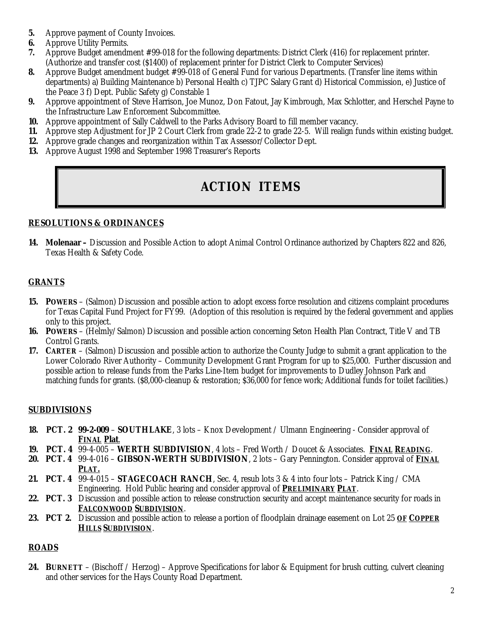- **5.** Approve payment of County Invoices.
- **6.** Approve Utility Permits.
- **7.** Approve Budget amendment #99-018 for the following departments: District Clerk (416) for replacement printer. (Authorize and transfer cost (\$1400) of replacement printer for District Clerk to Computer Services)
- **8.** Approve Budget amendment budget #99-018 of General Fund for various Departments. (Transfer line items within departments) a) Building Maintenance b) Personal Health c) TJPC Salary Grant d) Historical Commission, e) Justice of the Peace 3 f) Dept. Public Safety g) Constable 1
- **9.** Approve appointment of Steve Harrison, Joe Munoz, Don Fatout, Jay Kimbrough, Max Schlotter, and Herschel Payne to the Infrastructure Law Enforcement Subcommittee.
- **10.** Approve appointment of Sally Caldwell to the Parks Advisory Board to fill member vacancy.
- **11.** Approve step Adjustment for JP 2 Court Clerk from grade 22-2 to grade 22-5. Will realign funds within existing budget.
- **12.** Approve grade changes and reorganization within Tax Assessor/Collector Dept.
- **13.** Approve August 1998 and September 1998 Treasurer's Reports

# **ACTION ITEMS**

#### **RESOLUTIONS & ORDINANCES**

**14. Molenaar –** Discussion and Possible Action to adopt Animal Control Ordinance authorized by Chapters 822 and 826, Texas Health & Safety Code.

#### **GRANTS**

- **15. POWERS** (Salmon) Discussion and possible action to adopt excess force resolution and citizens complaint procedures for Texas Capital Fund Project for FY99. (Adoption of this resolution is required by the federal government and applies only to this project.
- **16. POWERS** (Helmly/Salmon) Discussion and possible action concerning Seton Health Plan Contract, Title V and TB Control Grants.
- **17. CARTER** (Salmon) Discussion and possible action to authorize the County Judge to submit a grant application to the Lower Colorado River Authority – Community Development Grant Program for up to \$25,000. Further discussion and possible action to release funds from the Parks Line-Item budget for improvements to Dudley Johnson Park and matching funds for grants. (\$8,000-cleanup & restoration; \$36,000 for fence work; Additional funds for toilet facilities.)

#### **SUBDIVISIONS**

- **18. PCT. 2 99-2-009 SOUTHLAKE**, 3 lots Knox Development / Ulmann Engineering Consider approval of **FINAL Plat**.
- **19. PCT. 4** 99-4-005 **WERTH SUBDIVISION**, 4 lots Fred Worth / Doucet & Associates. **FINAL READING**.
- **20. PCT. 4** 99-4-016 **GIBSON-WERTH SUBDIVISION**, 2 lots Gary Pennington. Consider approval of **FINAL PLAT.**
- **21. PCT. 4** 99-4-015 **STAGECOACH RANCH**, Sec. 4, resub lots 3 & 4 into four lots Patrick King / CMA Engineering. Hold Public hearing and consider approval of **PRELIMINARY PLAT**.
- **22. PCT. 3** Discussion and possible action to release construction security and accept maintenance security for roads in **FALCONWOOD SUBDIVISION**.
- **23. PCT 2.** Discussion and possible action to release a portion of floodplain drainage easement on Lot 25 **OF COPPER HILLS SUBDIVISION**.

#### **ROADS**

**24. BURNETT** – (Bischoff / Herzog) – Approve Specifications for labor & Equipment for brush cutting, culvert cleaning and other services for the Hays County Road Department.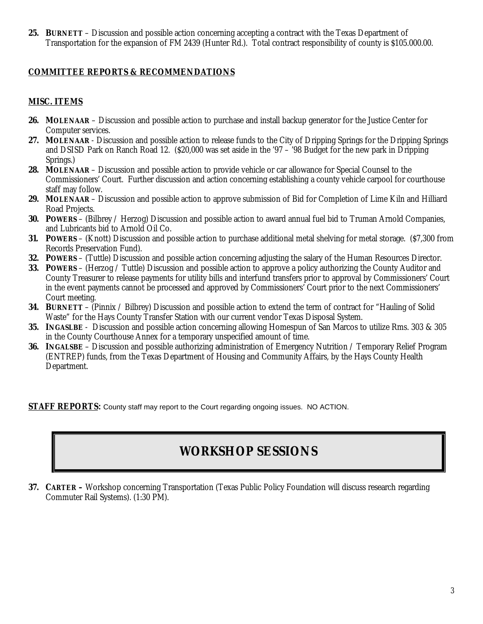**25. BURNETT** – Discussion and possible action concerning accepting a contract with the Texas Department of Transportation for the expansion of FM 2439 (Hunter Rd.). Total contract responsibility of county is \$105.000.00.

#### **COMMITTEE REPORTS & RECOMMENDATIONS**

#### **MISC. ITEMS**

- **26. MOLENAAR** Discussion and possible action to purchase and install backup generator for the Justice Center for Computer services.
- **27. MOLENAAR**  Discussion and possible action to release funds to the City of Dripping Springs for the Dripping Springs and DSISD Park on Ranch Road 12. (\$20,000 was set aside in the '97 – '98 Budget for the new park in Dripping Springs.)
- **28. MOLENAAR**  Discussion and possible action to provide vehicle or car allowance for Special Counsel to the Commissioners' Court. Further discussion and action concerning establishing a county vehicle carpool for courthouse staff may follow.
- **29. MOLENAAR**  Discussion and possible action to approve submission of Bid for Completion of Lime Kiln and Hilliard Road Projects.
- **30. POWERS**  (Bilbrey / Herzog) Discussion and possible action to award annual fuel bid to Truman Arnold Companies, and Lubricants bid to Arnold Oil Co.
- **31. POWERS** (Knott) Discussion and possible action to purchase additional metal shelving for metal storage. (\$7,300 from Records Preservation Fund).
- **32. POWERS**  (Tuttle) Discussion and possible action concerning adjusting the salary of the Human Resources Director.
- **33. POWERS** (Herzog / Tuttle) Discussion and possible action to approve a policy authorizing the County Auditor and County Treasurer to release payments for utility bills and interfund transfers prior to approval by Commissioners' Court in the event payments cannot be processed and approved by Commissioners' Court prior to the next Commissioners' Court meeting.
- **34. BURNETT**  (Pinnix / Bilbrey) Discussion and possible action to extend the term of contract for "Hauling of Solid Waste" for the Hays County Transfer Station with our current vendor Texas Disposal System.
- **35. INGASLBE**  Discussion and possible action concerning allowing Homespun of San Marcos to utilize Rms. 303 & 305 in the County Courthouse Annex for a temporary unspecified amount of time.
- **36. INGALSBE**  Discussion and possible authorizing administration of Emergency Nutrition / Temporary Relief Program (ENTREP) funds, from the Texas Department of Housing and Community Affairs, by the Hays County Health Department.

**STAFF REPORTS:** County staff may report to the Court regarding ongoing issues. NO ACTION.

# **WORKSHOP SESSIONS**

**37. CARTER –** Workshop concerning Transportation (Texas Public Policy Foundation will discuss research regarding Commuter Rail Systems). (1:30 PM).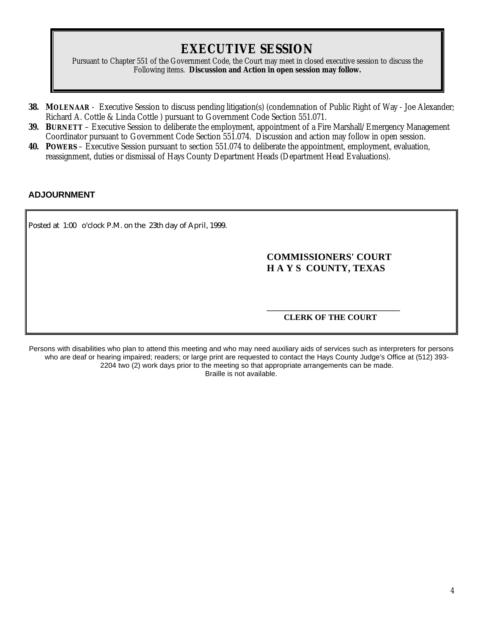### **EXECUTIVE SESSION**

Pursuant to Chapter 551 of the Government Code, the Court may meet in closed executive session to discuss the Following items. **Discussion and Action in open session may follow.**

- **38. MOLENAAR** Executive Session to discuss pending litigation(s) (condemnation of Public Right of Way Joe Alexander; Richard A. Cottle & Linda Cottle ) pursuant to Government Code Section 551.071.
- **39. BURNETT**  Executive Session to deliberate the employment, appointment of a Fire Marshall/Emergency Management Coordinator pursuant to Government Code Section 551.074. Discussion and action may follow in open session.
- **40. POWERS**  Executive Session pursuant to section 551.074 to deliberate the appointment, employment, evaluation, reassignment, duties or dismissal of Hays County Department Heads (Department Head Evaluations).

#### **ADJOURNMENT**

Posted at 1:00 o'clock P.M. on the 23th day of April, 1999.

#### **COMMISSIONERS' COURT H A Y S COUNTY, TEXAS**

**\_\_\_\_\_\_\_\_\_\_\_\_\_\_\_\_\_\_\_\_\_\_\_\_\_\_\_\_\_\_\_\_ CLERK OF THE COURT**

Persons with disabilities who plan to attend this meeting and who may need auxiliary aids of services such as interpreters for persons who are deaf or hearing impaired; readers; or large print are requested to contact the Hays County Judge's Office at (512) 393- 2204 two (2) work days prior to the meeting so that appropriate arrangements can be made. Braille is not available.